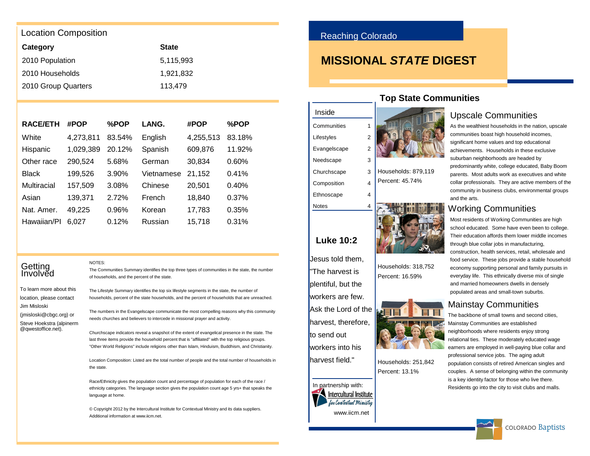### Location Composition

| Category            | <b>State</b> |
|---------------------|--------------|
| 2010 Population     | 5.115.993    |
| 2010 Households     | 1.921.832    |
| 2010 Group Quarters | 113.479      |

NOTES:

| <b>RACE/ETH</b> | #POP      | %POP   | LANG.      | #POP      | %POP   |
|-----------------|-----------|--------|------------|-----------|--------|
| White           | 4,273,811 | 83.54% | English    | 4,255,513 | 83.18% |
| Hispanic        | 1,029,389 | 20.12% | Spanish    | 609,876   | 11.92% |
| Other race      | 290,524   | 5.68%  | German     | 30,834    | 0.60%  |
| Black           | 199,526   | 3.90%  | Vietnamese | 21,152    | 0.41%  |
| Multiracial     | 157,509   | 3.08%  | Chinese    | 20,501    | 0.40%  |
| Asian           | 139,371   | 2.72%  | French     | 18,840    | 0.37%  |
| Nat. Amer.      | 49,225    | 0.96%  | Korean     | 17,783    | 0.35%  |
| Hawaiian/Pl     | 6.027     | 0.12%  | Russian    | 15,718    | 0.31%  |

### **Getting Involved**

To learn more about this location, please contact Jim Misloski (imisloski@cbac.org) or Steve Hoekstra (alpinerm @qwestoffice.net).

of households, and the percent of the state. The Lifestyle Summary identifies the top six lifestyle segments in the state, the number of

The Communities Summary identifies the top three types of communities in the state, the number

households, percent of the state households, and the percent of households that are unreached.

The numbers in the Evangelscape communicate the most compelling reasons why this community needs churches and believers to intercede in missional prayer and activity.

Churchscape indicators reveal a snapshot of the extent of evangelical presence in the state. The last three items provide the household percent that is "affiliated" with the top religious groups. "Other World Religions" include religions other than Islam, Hinduism, Buddhism, and Christianity.

Location Composition: Listed are the total number of people and the total number of households in the state.

Race/Ethnicity gives the population count and percentage of population for each of the race / ethnicity categories. The language section gives the population count age 5 yrs+ that speaks the language at home.

© Copyright 2012 by the Intercultural Institute for Contextual Ministry and its data suppliers. Additional information at www.iicm.net.

### Reaching Colorado

**Luke 10:2**

Jesus told them, "The harvest is plentiful, but the workers are few.

to send out workers into his harvest field."

In partnership with:

www.iicm.net

Intercultural Institute lor Contextual Ministru

Inside **Communities** Lifestyles Evangelscape Needscape Churchscape Composition Ethnoscape **Notes** 

## **MISSIONAL STATE DIGEST**



Households: 879,119 Percent: 45.74%



Households: 318,752 Percent: 16.59%



Percent: 13.1%



## **Top State Communities**

### Upscale Communities

As the wealthiest households in the nation, upscale communities boast high household incomes, significant home values and top educational achievements. Households in these exclusive suburban neighborhoods are headed by predominantly white, college educated, Baby Boom parents. Most adults work as executives and white collar professionals. They are active members of the community in business clubs, environmental groups and the arts.

### Working Communities

Most residents of Working Communities are high school educated. Some have even been to college. Their education affords them lower middle incomes through blue collar jobs in manufacturing, construction, health services, retail, wholesale and food service. These jobs provide a stable household economy supporting personal and family pursuits in everyday life. This ethnically diverse mix of single and married homeowners dwells in densely populated areas and small-town suburbs.

### Mainstay Communities

The backbone of small towns and second cities, Mainstay Communities are established neighborhoods where residents enjoy strong relational ties. These moderately educated wage earners are employed in well-paying blue collar and professional service jobs. The aging adult population consists of retired American singles and couples. A sense of belonging within the community is a key identity factor for those who live there. Residents go into the city to visit clubs and malls.